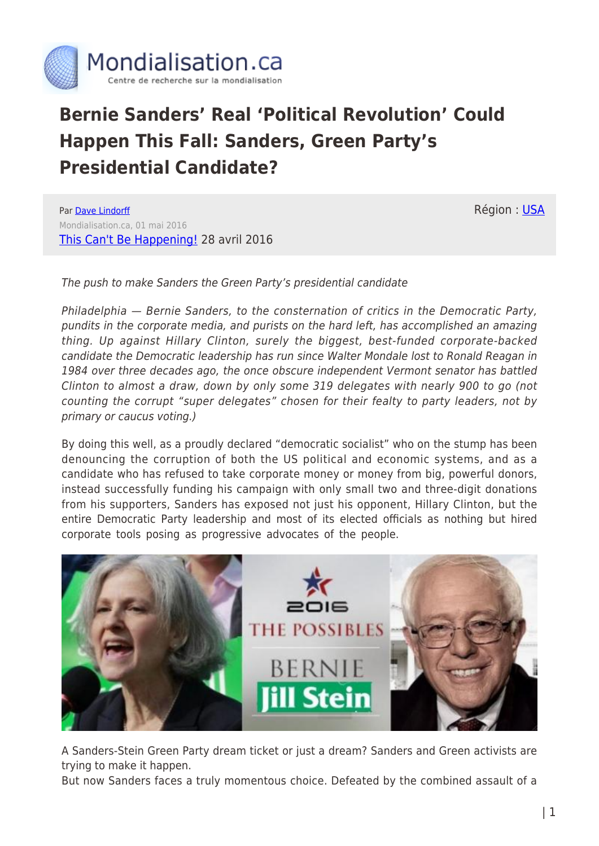

## **Bernie Sanders' Real 'Political Revolution' Could Happen This Fall: Sanders, Green Party's Presidential Candidate?**

Par [Dave Lindorff](https://www.mondialisation.ca/author/dave-lindorff) Mondialisation.ca, 01 mai 2016 [This Can't Be Happening!](http://thiscantbehappening.net/print/3141) 28 avril 2016 Région : [USA](https://www.mondialisation.ca/region/usa)

The push to make Sanders the Green Party's presidential candidate

Philadelphia — Bernie Sanders, to the consternation of critics in the Democratic Party, pundits in the corporate media, and purists on the hard left, has accomplished an amazing thing. Up against Hillary Clinton, surely the biggest, best-funded corporate-backed candidate the Democratic leadership has run since Walter Mondale lost to Ronald Reagan in 1984 over three decades ago, the once obscure independent Vermont senator has battled Clinton to almost a draw, down by only some 319 delegates with nearly 900 to go (not counting the corrupt "super delegates" chosen for their fealty to party leaders, not by primary or caucus voting.)

By doing this well, as a proudly declared "democratic socialist" who on the stump has been denouncing the corruption of both the US political and economic systems, and as a candidate who has refused to take corporate money or money from big, powerful donors, instead successfully funding his campaign with only small two and three-digit donations from his supporters, Sanders has exposed not just his opponent, Hillary Clinton, but the entire Democratic Party leadership and most of its elected officials as nothing but hired corporate tools posing as progressive advocates of the people.



A Sanders-Stein Green Party dream ticket or just a dream? Sanders and Green activists are trying to make it happen.

But now Sanders faces a truly momentous choice. Defeated by the combined assault of a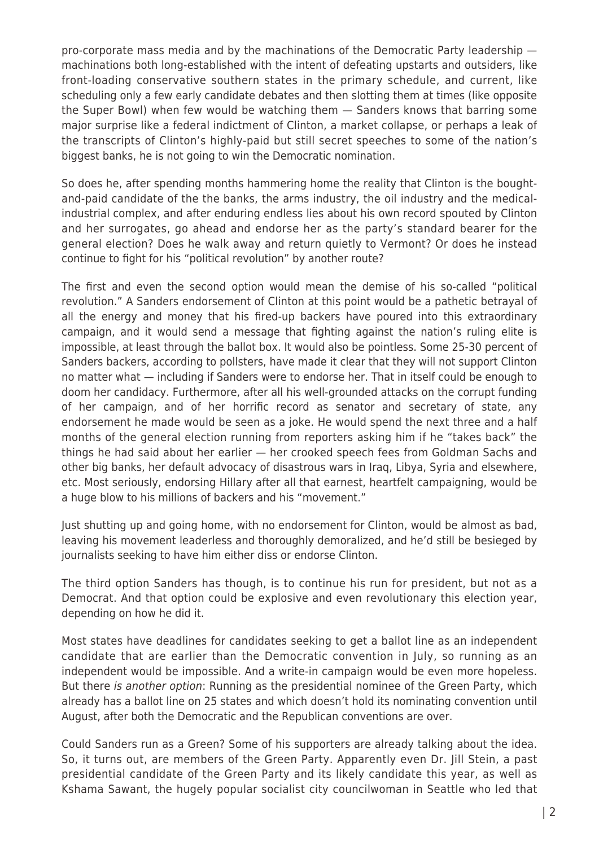pro-corporate mass media and by the machinations of the Democratic Party leadership machinations both long-established with the intent of defeating upstarts and outsiders, like front-loading conservative southern states in the primary schedule, and current, like scheduling only a few early candidate debates and then slotting them at times (like opposite the Super Bowl) when few would be watching them — Sanders knows that barring some major surprise like a federal indictment of Clinton, a market collapse, or perhaps a leak of the transcripts of Clinton's highly-paid but still secret speeches to some of the nation's biggest banks, he is not going to win the Democratic nomination.

So does he, after spending months hammering home the reality that Clinton is the boughtand-paid candidate of the the banks, the arms industry, the oil industry and the medicalindustrial complex, and after enduring endless lies about his own record spouted by Clinton and her surrogates, go ahead and endorse her as the party's standard bearer for the general election? Does he walk away and return quietly to Vermont? Or does he instead continue to fight for his "political revolution" by another route?

The first and even the second option would mean the demise of his so-called "political revolution." A Sanders endorsement of Clinton at this point would be a pathetic betrayal of all the energy and money that his fired-up backers have poured into this extraordinary campaign, and it would send a message that fighting against the nation's ruling elite is impossible, at least through the ballot box. It would also be pointless. Some 25-30 percent of Sanders backers, according to pollsters, have made it clear that they will not support Clinton no matter what — including if Sanders were to endorse her. That in itself could be enough to doom her candidacy. Furthermore, after all his well-grounded attacks on the corrupt funding of her campaign, and of her horrific record as senator and secretary of state, any endorsement he made would be seen as a joke. He would spend the next three and a half months of the general election running from reporters asking him if he "takes back" the things he had said about her earlier — her crooked speech fees from Goldman Sachs and other big banks, her default advocacy of disastrous wars in Iraq, Libya, Syria and elsewhere, etc. Most seriously, endorsing Hillary after all that earnest, heartfelt campaigning, would be a huge blow to his millions of backers and his "movement."

Just shutting up and going home, with no endorsement for Clinton, would be almost as bad, leaving his movement leaderless and thoroughly demoralized, and he'd still be besieged by journalists seeking to have him either diss or endorse Clinton.

The third option Sanders has though, is to continue his run for president, but not as a Democrat. And that option could be explosive and even revolutionary this election year, depending on how he did it.

Most states have deadlines for candidates seeking to get a ballot line as an independent candidate that are earlier than the Democratic convention in July, so running as an independent would be impossible. And a write-in campaign would be even more hopeless. But there is another option: Running as the presidential nominee of the Green Party, which already has a ballot line on 25 states and which doesn't hold its nominating convention until August, after both the Democratic and the Republican conventions are over.

Could Sanders run as a Green? Some of his supporters are already talking about the idea. So, it turns out, are members of the Green Party. Apparently even Dr. Jill Stein, a past presidential candidate of the Green Party and its likely candidate this year, as well as Kshama Sawant, the hugely popular socialist city councilwoman in Seattle who led that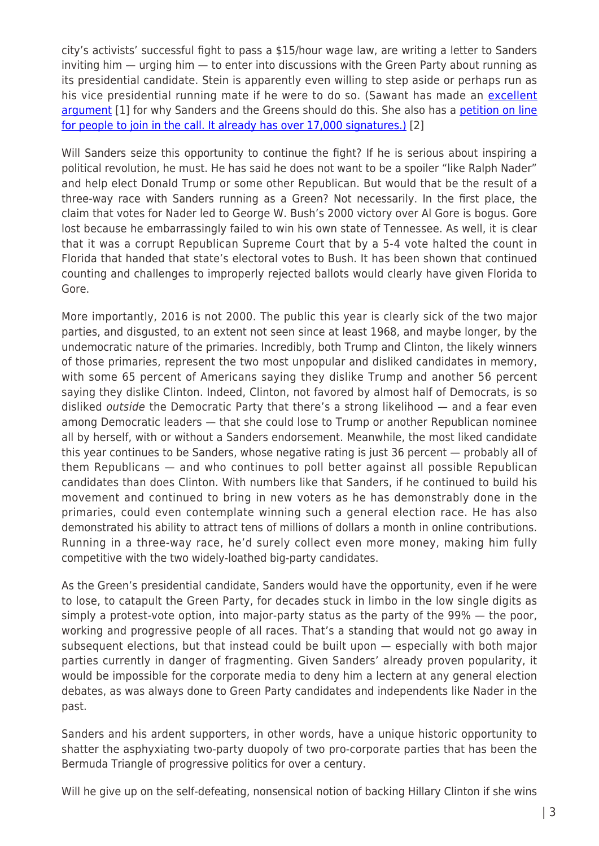city's activists' successful fight to pass a \$15/hour wage law, are writing a letter to Sanders inviting him — urging him — to enter into discussions with the Green Party about running as its presidential candidate. Stein is apparently even willing to step aside or perhaps run as his vice presidential running mate if he were to do so. (Sawant has made an [excellent](http://www.socialistalternative.org/2016/04/17/kshama-sawant-petitioning-bernie-run-independent/) [argument](http://www.socialistalternative.org/2016/04/17/kshama-sawant-petitioning-bernie-run-independent/) [1] for why Sanders and the Greens should do this. She also has a [petition on line](http://movement4bernie.org/run-all-the-way) [for people to join in the call. It already has over 17,000 signatures.\)](http://movement4bernie.org/run-all-the-way) [2]

Will Sanders seize this opportunity to continue the fight? If he is serious about inspiring a political revolution, he must. He has said he does not want to be a spoiler "like Ralph Nader" and help elect Donald Trump or some other Republican. But would that be the result of a three-way race with Sanders running as a Green? Not necessarily. In the first place, the claim that votes for Nader led to George W. Bush's 2000 victory over Al Gore is bogus. Gore lost because he embarrassingly failed to win his own state of Tennessee. As well, it is clear that it was a corrupt Republican Supreme Court that by a 5-4 vote halted the count in Florida that handed that state's electoral votes to Bush. It has been shown that continued counting and challenges to improperly rejected ballots would clearly have given Florida to Gore.

More importantly, 2016 is not 2000. The public this year is clearly sick of the two major parties, and disgusted, to an extent not seen since at least 1968, and maybe longer, by the undemocratic nature of the primaries. Incredibly, both Trump and Clinton, the likely winners of those primaries, represent the two most unpopular and disliked candidates in memory, with some 65 percent of Americans saying they dislike Trump and another 56 percent saying they dislike Clinton. Indeed, Clinton, not favored by almost half of Democrats, is so disliked outside the Democratic Party that there's a strong likelihood — and a fear even among Democratic leaders — that she could lose to Trump or another Republican nominee all by herself, with or without a Sanders endorsement. Meanwhile, the most liked candidate this year continues to be Sanders, whose negative rating is just 36 percent — probably all of them Republicans — and who continues to poll better against all possible Republican candidates than does Clinton. With numbers like that Sanders, if he continued to build his movement and continued to bring in new voters as he has demonstrably done in the primaries, could even contemplate winning such a general election race. He has also demonstrated his ability to attract tens of millions of dollars a month in online contributions. Running in a three-way race, he'd surely collect even more money, making him fully competitive with the two widely-loathed big-party candidates.

As the Green's presidential candidate, Sanders would have the opportunity, even if he were to lose, to catapult the Green Party, for decades stuck in limbo in the low single digits as simply a protest-vote option, into major-party status as the party of the 99% — the poor, working and progressive people of all races. That's a standing that would not go away in subsequent elections, but that instead could be built upon — especially with both major parties currently in danger of fragmenting. Given Sanders' already proven popularity, it would be impossible for the corporate media to deny him a lectern at any general election debates, as was always done to Green Party candidates and independents like Nader in the past.

Sanders and his ardent supporters, in other words, have a unique historic opportunity to shatter the asphyxiating two-party duopoly of two pro-corporate parties that has been the Bermuda Triangle of progressive politics for over a century.

Will he give up on the self-defeating, nonsensical notion of backing Hillary Clinton if she wins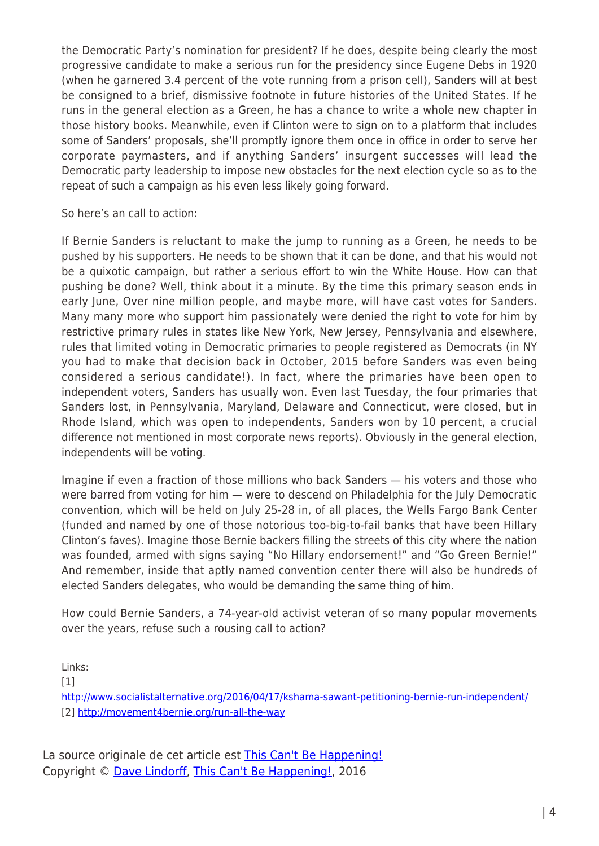the Democratic Party's nomination for president? If he does, despite being clearly the most progressive candidate to make a serious run for the presidency since Eugene Debs in 1920 (when he garnered 3.4 percent of the vote running from a prison cell), Sanders will at best be consigned to a brief, dismissive footnote in future histories of the United States. If he runs in the general election as a Green, he has a chance to write a whole new chapter in those history books. Meanwhile, even if Clinton were to sign on to a platform that includes some of Sanders' proposals, she'll promptly ignore them once in office in order to serve her corporate paymasters, and if anything Sanders' insurgent successes will lead the Democratic party leadership to impose new obstacles for the next election cycle so as to the repeat of such a campaign as his even less likely going forward.

So here's an call to action:

If Bernie Sanders is reluctant to make the jump to running as a Green, he needs to be pushed by his supporters. He needs to be shown that it can be done, and that his would not be a quixotic campaign, but rather a serious effort to win the White House. How can that pushing be done? Well, think about it a minute. By the time this primary season ends in early June, Over nine million people, and maybe more, will have cast votes for Sanders. Many many more who support him passionately were denied the right to vote for him by restrictive primary rules in states like New York, New Jersey, Pennsylvania and elsewhere, rules that limited voting in Democratic primaries to people registered as Democrats (in NY you had to make that decision back in October, 2015 before Sanders was even being considered a serious candidate!). In fact, where the primaries have been open to independent voters, Sanders has usually won. Even last Tuesday, the four primaries that Sanders lost, in Pennsylvania, Maryland, Delaware and Connecticut, were closed, but in Rhode Island, which was open to independents, Sanders won by 10 percent, a crucial difference not mentioned in most corporate news reports). Obviously in the general election, independents will be voting.

Imagine if even a fraction of those millions who back Sanders — his voters and those who were barred from voting for him — were to descend on Philadelphia for the July Democratic convention, which will be held on July 25-28 in, of all places, the Wells Fargo Bank Center (funded and named by one of those notorious too-big-to-fail banks that have been Hillary Clinton's faves). Imagine those Bernie backers filling the streets of this city where the nation was founded, armed with signs saying "No Hillary endorsement!" and "Go Green Bernie!" And remember, inside that aptly named convention center there will also be hundreds of elected Sanders delegates, who would be demanding the same thing of him.

How could Bernie Sanders, a 74-year-old activist veteran of so many popular movements over the years, refuse such a rousing call to action?

Links:

[1]

<http://www.socialistalternative.org/2016/04/17/kshama-sawant-petitioning-bernie-run-independent/> [2]<http://movement4bernie.org/run-all-the-way>

La source originale de cet article est [This Can't Be Happening!](http://thiscantbehappening.net/print/3141) Copyright © [Dave Lindorff,](https://www.mondialisation.ca/author/dave-lindorff) [This Can't Be Happening!,](http://thiscantbehappening.net/print/3141) 2016